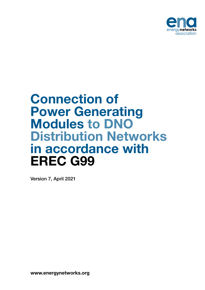

## Connection of Power Generating Modules to DNO Distribution Networks in accordance with EREC G99

Version 7, April 2021

www.energynetworks.org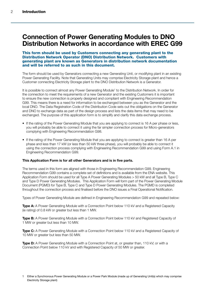## Connection of Power Generating Modules to DNO Distribution Networks in accordance with EREC G99

#### This form should be used by Customers connecting any generating plant to the Distribution Network Operator (DNO) Distribution Network. Customers with generating plant are known as Generators in distribution network documentation and will be referred to as such in this document.

The form should be used by Generators connecting a new Generating Unit, or modifying plant in an existing Power Generating Facility. Note that Generating Units may comprise Electricity Storage plant and hence a Customer connecting Electricity Storage plant to the DNO Distribution Network is a Generator.

It is possible to connect almost any Power Generating Module<sup>1</sup> to the Distribution Network. In order for the connection to meet the requirements of a new Generator and the existing Customers it is important to ensure the new connection is properly designed and compliant with Engineering Recommendation G99. This means there is a need for information to be exchanged between you as the Generator and the local DNO. The Data Registration Code of the Distribution Code sets out the obligations on the Generator and DNO to exchange data as part of the design process and lists the data items that may need to be exchanged. The purpose of this application form is to simplify and clarify this data exchange process.

- If the rating of the Power Generating Module that you are applying to connect is 16 A per phase or less, you will probably be able to connect it using the far simpler connection process for Micro-generators complying with Engineering Recommendation G98.
- If the rating of the Power Generating Module that you are applying to connect is greater than 16 A per phase and less than 17 kW (or less than 50 kW three phase), you will probably be able to connect it using the connection process complying with Engineering Recommendation G99 and using Form A.1 in Engineering Recommendation G99.

#### This Application Form is for all other Generators and is in five parts.

The terms used in this form are aligned with those in Engineering Recommendation G99. Engineering Recommendation G99 contains a complete set of definitions and is available from the ENA website. This Application Form should be used for all Type A Power Generating Modules > 50 kW and all Type B, Type C and Type D Power Generating Modules. This Application Form will form part of the Power Generating Module Document (PGMD) for Type B, Type C and Type D Power Generating Modules. The PGMD is completed throughout the connection process and finalised before the DNO issues a Final Operational Notification.

Types of Power Generating Module are defined in Engineering Recommendation G99 and repeated below:

**Type A:** A Power Generating Module with a Connection Point below 110 kV and a Registered Capacity (ie rating) of 0.8 kW or greater but less than 1 MW.

Type B: A Power Generating Module with a Connection Point below 110 kV and Registered Capacity of 1 MW or greater but less than 10 MW.

**Type C:** A Power Generating Module with a Connection Point below 110 kV and a Registered Capacity of 10 MW or greater but less than 50 MW.

Type D: A Power Generating Module with a Connection Point at, or greater than, 110 kV; or with a Connection Point below 110 kV and with Registered Capacity of 50 MW or greater.

1 Either a Synchronous Power Generating Module or a Power Park Module (made up of Generating Unit(s) which may comprise Electricity Storage plant)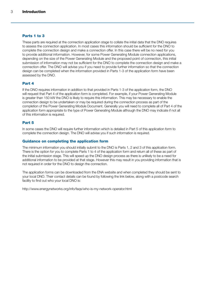#### Parts 1 to 3

These parts are required at the connection application stage to collate the initial data that the DNO requires to assess the connection application. In most cases this information should be sufficient for the DNO to complete the connection design and make a connection offer. In this case there will be no need for you to provide additional information. However, for some Power Generating Module connection applications, depending on the size of the Power Generating Module and the proposed point of connection, this initial submission of information may not be sufficient for the DNO to complete the connection design and make a connection offer. The DNO will advise you if you need to provide further information so that the connection design can be completed when the information provided in Parts 1-3 of the application form have been assessed by the DNO.

#### Part 4

If the DNO requires information in addition to that provided in Parts 1-3 of the application form, the DNO will request that Part 4 of the application form is completed. For example, if your Power Generating Module is greater than 150 kW the DNO is likely to require this information. This may be necessary to enable the connection design to be undertaken or may be required during the connection process as part of the completion of the Power Generating Module Document. Generally you will need to complete all of Part 4 of the application form appropriate to the type of Power Generating Module although the DNO may indicate if not all of this information is required.

#### Part 5

In some cases the DNO will require further information which is detailed in Part 5 of this application form to complete the connection design. The DNO will advise you if such information is required.

#### Guidance on completing the application form

The minimum information you should initially submit to the DNO is Parts 1, 2 and 3 of this application form. There is the option for you to complete Parts 1 to 4 of the application form and return all of these as part of the initial submission stage. This will speed up the DNO design process as there is unlikely to be a need for additional information to be provided at that stage. However this may result in you providing information that is not required in order for the DNO to design the connection.

The application forms can be downloaded from the ENA website and when completed they should be sent to your local DNO. Their contact details can be found by following the link below, along with a postcode search facility to find out who your local DNO is:

<http://www.energynetworks.org/info/faqs/who-is-my-network-operator.html>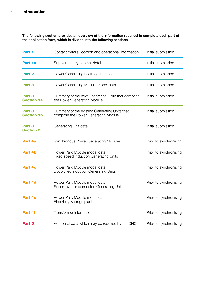The following section provides an overview of the information required to complete each part of the application form, which is divided into the following sections:

| Part 1                                | Contact details, location and operational information                                 | Initial submission     |
|---------------------------------------|---------------------------------------------------------------------------------------|------------------------|
| Part 1a                               | Supplementary contact details                                                         | Initial submission     |
| Part 2                                | Power Generating Facility general data                                                | Initial submission     |
| Part 3                                | Power Generating Module model data                                                    | Initial submission     |
| Part 3<br><b>Section 1a</b>           | Summary of the new Generating Units that comprise<br>the Power Generating Module      | Initial submission     |
| Part 3<br><b>Section 1b</b>           | Summary of the existing Generating Units that<br>comprise the Power Generating Module | Initial submission     |
| Part <sub>3</sub><br><b>Section 2</b> | Generating Unit data                                                                  | Initial submission     |
| Part 4a                               | <b>Synchronous Power Generating Modules</b>                                           | Prior to synchronising |
| Part 4b                               | Power Park Module model data:<br><b>Fixed speed induction Generating Units</b>        | Prior to synchronising |
| Part 4c                               | Power Park Module model data:<br>Doubly fed induction Generating Units                | Prior to synchronising |
| Part 4d                               | Power Park Module model data:<br>Series inverter connected Generating Units           | Prior to synchronising |
| Part 4e                               | Power Park Module model data:<br><b>Electricity Storage plant</b>                     | Prior to synchronising |
| Part 4f                               | Transformer information                                                               | Prior to synchronising |
| Part 5                                | Additional data which may be required by the DNO                                      | Prior to synchronising |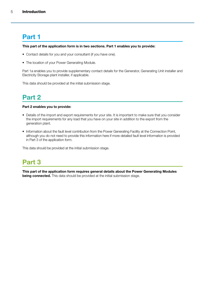## Part 1

#### This part of the application form is in two sections. Part 1 enables you to provide:

- Contact details for you and your consultant (if you have one).
- The location of your Power Generating Module.

Part 1a enables you to provide supplementary contact details for the Generator, Generating Unit installer and Electricity Storage plant installer, if applicable.

This data should be provided at the initial submission stage.

## Part 2

#### Part 2 enables you to provide:

- Details of the import and export requirements for your site. It is important to make sure that you consider the import requirements for any load that you have on your site in addition to the export from the generation plant.
- Information about the fault level contribution from the Power Generating Facility at the Connection Point, although you do not need to provide this information here if more detailed fault level information is provided in Part 3 of the application form.

This data should be provided at the initial submission stage.

## Part 3

This part of the application form requires general details about the Power Generating Modules **being connected.** This data should be provided at the initial submission stage.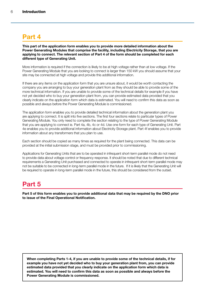## Part 4

This part of the application form enables you to provide more detailed information about the Power Generating Modules that comprise the facility, including Electricity Storage, that you are applying to connect. The relevant section of Part 4 of the form should be completed for each different type of Generating Unit.

More information is required if the connection is likely to be at high voltage rather than at low voltage. If the Power Generating Module that you are looking to connect is larger than 150 kW you should assume that your site may be connected at high voltage and provide this additional information.

If there are any items on the application form that you are unsure about, it would be worth contacting the company you are arranging to buy your generation plant from as they should be able to provide some of the more technical information. If you are unable to provide some of the technical details for example if you have not yet decided who to buy your generation plant from, you can provide estimated data provided that you clearly indicate on the application form which data is estimated. You will need to confirm this data as soon as possible and always before the Power Generating Module is commissioned.

The application form enables you to provide detailed technical information about the generation plant you are applying to connect. It is split into five sections. The first four sections relate to particular types of Power Generating Module. You only need to complete the section relating to the type of Power Generating Module that you are applying to connect ie. Part 4a, 4b, 4c or 4d. Use one form for each type of Generating Unit. Part 4e enables you to provide additional information about Electricity Storage plant. Part 4f enables you to provide information about any transformers that you plan to use.

Each section should be copied as many times as required for the plant being connected. This data can be provided at the initial submission stage, and must be provided prior to commissioning.

Applications for Generating Units that are to be operated in infrequent short-term parallel mode do not need to provide data about voltage control or frequency response. It should be noted that due to different technical requirements a Generating Unit purchased and connected to operate in infrequent short-term parallel mode may not be suitable to be connected in long-term parallel mode in the future. If it is likely that the Generating Unit will be required to operate in long-term parallel mode in the future, this should be considered from the outset.

## Part 5

Part 5 of this form enables you to provide additional data that may be required by the DNO prior to issue of the Final Operational Notification.

When completing Parts 1-4, if you are unable to provide some of the technical details, if for example you have not yet decided who to buy your generation plant from, you can provide estimated data provided that you clearly indicate on the application form which data is estimated. You will need to confirm this data as soon as possible and always before the Power Generating Module is commissioned.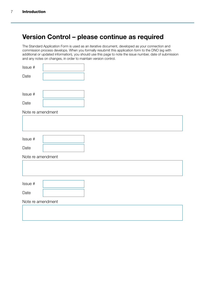## Version Control – please continue as required

The Standard Application Form is used as an iterative document, developed as your connection and commission process develops. When you formally resubmit this application form to the DNO (eg with additional or updated information), you should use this page to note the issue number, date of submission and any notes on changes, in order to maintain version control.

| Issue # |  |
|---------|--|
| Date    |  |
|         |  |
| Issue # |  |
| Date    |  |

Note re amendment

| Issue #           |  |
|-------------------|--|
| Date              |  |
| Note re amendment |  |
|                   |  |
|                   |  |
| Issue #           |  |
|                   |  |
| Date              |  |
| Note re amendment |  |
|                   |  |
|                   |  |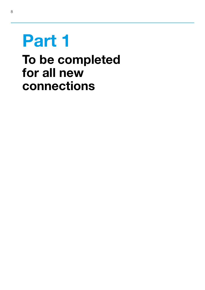# Part 1

## To be completed for all new connections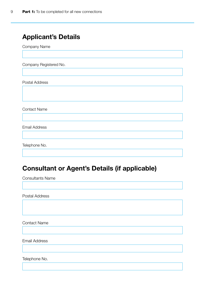## Applicant's Details

Company Name

Company Registered No.

Postal Address

Contact Name

Email Address

Telephone No.

## Consultant or Agent's Details (if applicable)

Consultants Name

Postal Address

Contact Name

Email Address

Telephone No.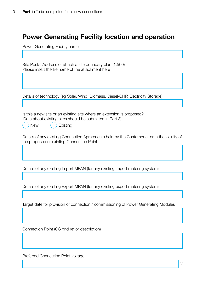## Power Generating Facility location and operation

Power Generating Facility name

| Site Postal Address or attach a site boundary plan (1:500)<br>Please insert the file name of the attachment here                                              |
|---------------------------------------------------------------------------------------------------------------------------------------------------------------|
|                                                                                                                                                               |
| Details of technology (eg Solar, Wind, Biomass, Diesel/CHP, Electricity Storage)                                                                              |
| Is this a new site or an existing site where an extension is proposed?<br>(Data about existing sites should be submitted in Part 3)<br><b>New</b><br>Existing |
| Details of any existing Connection Agreements held by the Customer at or in the vicinity of<br>the proposed or existing Connection Point                      |
| Details of any existing Import MPAN (for any existing import metering system)                                                                                 |
| Details of any existing Export MPAN (for any existing export metering system)                                                                                 |
| Target date for provision of connection / commissioning of Power Generating Modules                                                                           |
| Connection Point (OS grid ref or description)                                                                                                                 |

Preferred Connection Point voltage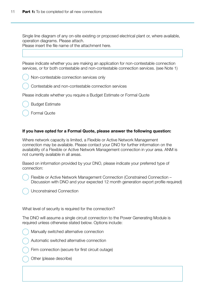Single line diagram of any on-site existing or proposed electrical plant or, where available, operation diagrams. Please attach.

Please insert the file name of the attachment here.

Please indicate whether you are making an application for non-contestable connection services, or for both contestable and non-contestable connection services. (see Note 1)

Non-contestable connection services only

Contestable and non-contestable connection services

Please indicate whether you require a Budget Estimate or Formal Quote

Budget Estimate

Formal Quote

#### If you have opted for a Formal Quote, please answer the following question:

Where network capacity is limited, a Flexible or Active Network Management connection may be available. Please contact your DNO for further information on the availability of a Flexible or Active Network Management connection in your area. ANM is not currently available in all areas.

Based on information provided by your DNO, please indicate your preferred type of connection:

Flexible or Active Network Management Connection (Constrained Connection – Discussion with DNO and your expected 12 month generation export profile required)

Unconstrained Connection

What level of security is required for the connection?

The DNO will assume a single circuit connection to the Power Generating Module is required unless otherwise stated below. Options include:



Manually switched alternative connection



Firm connection (secure for first circuit outage)

**Other (please describe)**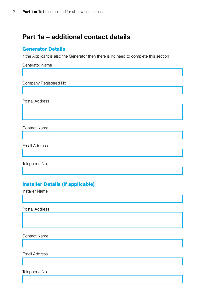### Part 1a – additional contact details

#### Generator Details

If the Applicant is also the Generator then there is no need to complete this section

Generator Name

Company Registered No.

Postal Address

Contact Name

Email Address

Telephone No.

#### Installer Details (if applicable)

Installer Name

Postal Address

Contact Name

Email Address

Telephone No.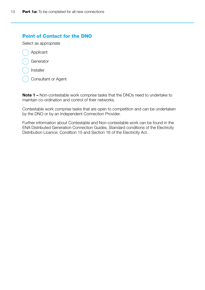#### Point of Contact for the DNO

Select as appropriate

- Applicant
- Generator
- **Installer**
- Consultant or Agent

Note 1 – Non-contestable work comprise tasks that the DNOs need to undertake to maintain co-ordination and control of their networks.

Contestable work comprise tasks that are open to competition and can be undertaken by the DNO or by an Independent Connection Provider.

Further information about Contestable and Non-contestable work can be found in the ENA Distributed Generation Connection Guides, Standard conditions of the Electricity Distribution Licence: Condition 15 and Section 16 of the Electricity Act.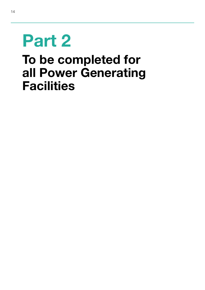# Part 2 To be completed for all Power Generating **Facilities**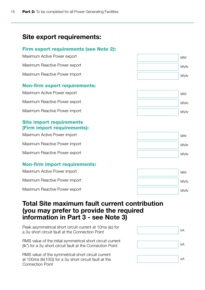## Site export requirements:

#### Firm export requirements (see Note 2):

| Maximum Active Power export          |  |
|--------------------------------------|--|
| Maximum Reactive Power export        |  |
| Maximum Reactive Power import        |  |
| <b>Non-firm export requirements:</b> |  |
| Maximum Active Power export          |  |
| Maximum Reactive Power export        |  |
| Maximum Reactive Power import        |  |
|                                      |  |

#### Site import requirements (Firm import requirements):

Maximum Active Power import

Maximum Reactive Power import

Maximum Reactive Power export

#### Non-firm import requirements:

Maximum Active Power import

Maximum Reactive Power import

Maximum Reactive Power export









### Total Site maximum fault current contribution (you may prefer to provide the required information in Part 3 - see Note 3)

Peak asymmetrical short circuit current at 10ms (ip) for a 3φ short circuit fault at the Connection Point

RMS value of the initial symmetrical short circuit current ( $lk$ ) for a 3 $\varphi$  short circuit fault at the Connection Point

RMS value of the symmetrical short circuit current at 100ms ( $lk(100)$ ) for a 3 $\varphi$  short circuit fault at the Connection Point

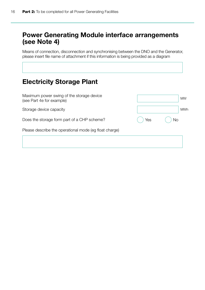## Power Generating Module interface arrangements (see Note 4)

Means of connection, disconnection and synchronising between the DNO and the Generator, please insert file name of attachment if this information is being provided as a diagram

## Electricity Storage Plant

Maximum power swing of the storage device (see Part 4e for example)

Storage device capacity

Does the storage form part of a CHP scheme?

Please describe the operational mode (eg float charge)

|       |     | <b>MW</b>  |
|-------|-----|------------|
|       |     | <b>MWh</b> |
|       | Yes | <b>No</b>  |
| arge) |     |            |
|       |     |            |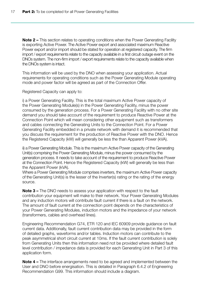Note 2 – This section relates to operating conditions when the Power Generating Facility is exporting Active Power. The Active Power export and associated maximum Reactive Power export and/or import should be stated for operation at registered capacity. The firm import / export requirements relate to the capacity available in a first circuit outage event on the DNOs system. The non-firm import / export requirements relate to the capacity available when the DNOs system is intact.

This information will be used by the DNO when assessing your application. Actual requirements for operating conditions such as the Power Generating Module operating mode and power factor will be agreed as part of the Connection Offer.

Registered Capacity can apply to:

i) a Power Generating Facility. This is the total maximum Active Power capacity of the Power Generating Module(s) in the Power Generating Facility, minus the power consumed by the generation process. For a Power Generating Facility with no other site demand you should take account of the requirement to produce Reactive Power at the Connection Point which will mean considering other equipment such as transformers and cables connecting the Generating Units to the Connection Point. For a Power Generating Facility embedded in a private network with demand it is recommended that you discuss the requirement for the production of Reactive Power with the DNO. Hence the Registered Capacity (kW) will generally be less the than Apparent Power (kVA).

ii) a Power Generating Module. This is the maximum Active Power capacity of the Generating Unit(s) comprising the Power Generating Module, minus the power consumed by the generation process. It needs to take account of the requirement to produce Reactive Power at the Connection Point. Hence the Registered Capacity (kW) will generally be less than the Apparent Power (kVA).

Where a Power Generating Module comprises inverters, the maximum Active Power capacity of the Generating Unit(s) is the lesser of the Inverter(s) rating or the rating of the energy source.

Note 3 – The DNO needs to assess your application with respect to the fault contribution your equipment will make to their network. Your Power Generating Modules and any induction motors will contribute fault current if there is a fault on the network. The amount of fault current at the connection point depends on the characteristics of your Power Generating Modules, induction motors and the impedance of your network (transformers, cables and overhead lines).

Engineering Recommendation G74, ETR 120 and IEC 60909 provide guidance on fault current data. Additionally, fault current contribution data may be provided in the form of detailed graphs, waveforms and/or tables. Induction motors can contribute to the peak asymmetrical short circuit current at 10ms. If the fault current contribution is solely from Generating Units then this information need not be provided where detailed fault level contribution / impedance data is provided for each Generating Unit in Part 3 of this application form.

Note 4 – The interface arrangements need to be agreed and implemented between the User and DNO before energisation. This is detailed in Paragraph 6.4.2 of Engineering Recommendation G99. This information should include a diagram.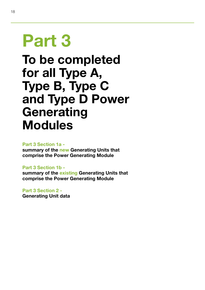# Part 3

## To be completed for all Type A, Type B, Type C and Type D Power **Generating** Modules

#### Part 3 Section 1a -

summary of the new Generating Units that comprise the Power Generating Module

#### Part 3 Section 1b -

summary of the existing Generating Units that comprise the Power Generating Module

#### Part 3 Section 2 -

Generating Unit data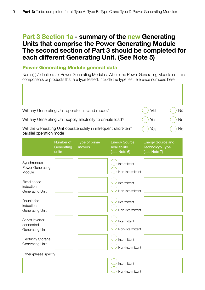### Part 3 Section 1a - summary of the new Generating Units that comprise the Power Generating Module The second section of Part 3 should be completed for each different Generating Unit. (See Note 5)

#### Power Generating Module general data

Name(s) / identifiers of Power Generating Modules. Where the Power Generating Module contains components or products that are type tested, include the type test reference numbers here.

| Will any Generating Unit operate in island mode?                                            |                                  |                         |                                                      | Yes                                                                | No |
|---------------------------------------------------------------------------------------------|----------------------------------|-------------------------|------------------------------------------------------|--------------------------------------------------------------------|----|
| Will any Generating Unit supply electricity to on-site load?                                |                                  |                         |                                                      | Yes                                                                | No |
| Will the Generating Unit operate solely in infrequent short-term<br>parallel operation mode |                                  |                         |                                                      | Yes                                                                | No |
|                                                                                             | Number of<br>Generating<br>units | Type of prime<br>movers | <b>Energy Source</b><br>Availability<br>(see Note 6) | <b>Energy Source and</b><br><b>Technology Type</b><br>(see Note 7) |    |
| Synchronous<br>Power Generating<br>Module                                                   |                                  |                         | Intermittent<br>Non-intermittent                     |                                                                    |    |
| Fixed speed<br>induction<br><b>Generating Unit</b>                                          |                                  |                         | Intermittent<br>Non-intermittent                     |                                                                    |    |
| Double fed<br>induction<br>Generating Unit                                                  |                                  |                         | Intermittent<br>Non-intermittent                     |                                                                    |    |
| Series inverter<br>connected<br>Generating Unit                                             |                                  |                         | Intermittent<br>Non-intermittent                     |                                                                    |    |
| <b>Electricity Storage</b><br><b>Generating Unit</b>                                        |                                  |                         | Intermittent<br>Non-intermittent                     |                                                                    |    |
| Other (please specify                                                                       |                                  |                         |                                                      |                                                                    |    |
|                                                                                             |                                  |                         | Intermittent<br>Non-intermittent                     |                                                                    |    |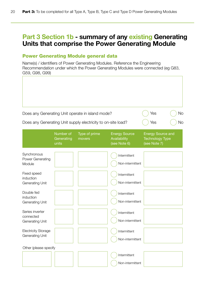## Part 3 Section 1b - summary of any existing Generating Units that comprise the Power Generating Module

#### Power Generating Module general data

Name(s) / identifiers of Power Generating Modules. Reference the Engineering Recommendation under which the Power Generating Modules were connected (eg G83, G59, G98, G99)

| Does any Generating Unit operate in island mode?             |                                  |                         |                                                      | Yes                                                                | No        |
|--------------------------------------------------------------|----------------------------------|-------------------------|------------------------------------------------------|--------------------------------------------------------------------|-----------|
| Does any Generating Unit supply electricity to on-site load? |                                  |                         |                                                      | Yes                                                                | <b>No</b> |
|                                                              | Number of<br>Generating<br>units | Type of prime<br>movers | <b>Energy Source</b><br>Availability<br>(see Note 6) | <b>Energy Source and</b><br><b>Technology Type</b><br>(see Note 7) |           |
| Synchronous<br>Power Generating<br>Module                    |                                  |                         | Intermittent<br>Non-intermittent                     |                                                                    |           |
| Fixed speed<br>induction<br><b>Generating Unit</b>           |                                  |                         | Intermittent<br>Non-intermittent                     |                                                                    |           |
| Double fed<br>induction<br><b>Generating Unit</b>            |                                  |                         | Intermittent<br>Non-intermittent                     |                                                                    |           |
| Series inverter<br>connected<br>Generating Unit              |                                  |                         | Intermittent<br>Non-intermittent                     |                                                                    |           |
| <b>Electricity Storage</b><br><b>Generating Unit</b>         |                                  |                         | Intermittent<br>Non-intermittent                     |                                                                    |           |
| Other (please specify                                        |                                  |                         | Intermittent<br>Non-intermittent                     |                                                                    |           |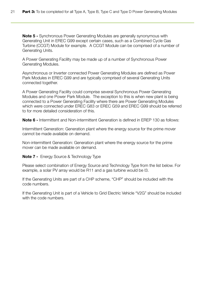**Note 5 -** Synchronous Power Generating Modules are generally synonymous with Generating Unit in EREC G99 except certain cases, such as a Combined Cycle Gas Turbine (CCGT) Module for example. A CCGT Module can be comprised of a number of Generating Units.

A Power Generating Facility may be made up of a number of Synchronous Power Generating Modules.

Asynchronous or Inverter connected Power Generating Modules are defined as Power Park Modules in EREC G99 and are typically comprised of several Generating Units connected together.

A Power Generating Facility could comprise several Synchronous Power Generating Modules and one Power Park Module. The exception to this is when new plant is being connected to a Power Generating Facility where there are Power Generating Modules which were connected under EREC G83 or EREC G59 and EREC G99 should be referred to for more detailed consideration of this.

Note 6 - Intermittent and Non-intermittent Generation is defined in EREP 130 as follows:

Intermittent Generation: Generation plant where the energy source for the prime mover cannot be made available on demand.

Non-intermittent Generation: Generation plant where the energy source for the prime mover can be made available on demand.

Note 7 - Energy Source & Technology Type

Please select combination of Energy Source and Technology Type from the list below. For example, a solar PV array would be R11 and a gas turbine would be I3.

If the Generating Units are part of a CHP scheme, "CHP" should be included with the code numbers.

If the Generating Unit is part of a Vehicle to Grid Electric Vehicle "V2G" should be included with the code numbers.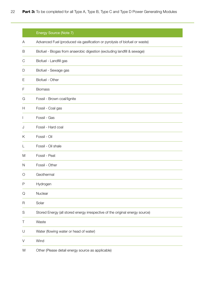|              | Energy Source (Note 7)                                                       |
|--------------|------------------------------------------------------------------------------|
| A            | Advanced Fuel (produced via gasification or pyrolysis of biofuel or waste)   |
| B            | Biofuel - Biogas from anaerobic digestion (excluding landfill & sewage)      |
| C            | Biofuel - Landfill gas                                                       |
| D            | Biofuel - Sewage gas                                                         |
| Ε            | Biofuel - Other                                                              |
| F            | <b>Biomass</b>                                                               |
| G            | Fossil - Brown coal/lignite                                                  |
| Н            | Fossil - Coal gas                                                            |
| $\mathsf{I}$ | Fossil - Gas                                                                 |
| J            | Fossil - Hard coal                                                           |
| Κ            | Fossil - Oil                                                                 |
| L            | Fossil - Oil shale                                                           |
| M            | Fossil - Peat                                                                |
| N            | Fossil - Other                                                               |
| O            | Geothermal                                                                   |
| P            | Hydrogen                                                                     |
| Q            | Nuclear                                                                      |
| R            | Solar                                                                        |
| S            | Stored Energy (all stored energy irrespective of the original energy source) |
| Τ            | Waste                                                                        |
| U            | Water (flowing water or head of water)                                       |
| V            | Wind                                                                         |
| W            | Other (Please detail energy source as applicable)                            |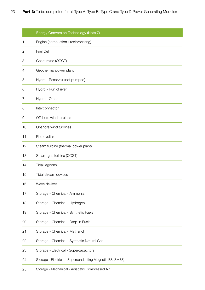|    | Energy Conversion Technology (Note 7)                     |
|----|-----------------------------------------------------------|
| ٦  | Engine (combustion / reciprocating)                       |
| 2  | <b>Fuel Cell</b>                                          |
| 3  | Gas turbine (OCGT)                                        |
| 4  | Geothermal power plant                                    |
| 5  | Hydro - Reservoir (not pumped)                            |
| 6  | Hydro - Run of river                                      |
| 7  | Hydro - Other                                             |
| 8  | Interconnector                                            |
| 9  | Offshore wind turbines                                    |
| 10 | Onshore wind turbines                                     |
| 11 | Photovoltaic                                              |
| 12 | Steam turbine (thermal power plant)                       |
| 13 | Steam-gas turbine (CCGT)                                  |
| 14 | Tidal lagoons                                             |
| 15 | Tidal stream devices                                      |
| 16 | Wave devices                                              |
| 17 | Storage - Chemical - Ammonia                              |
| 18 | Storage - Chemical - Hydrogen                             |
| 19 | Storage - Chemical - Synthetic Fuels                      |
| 20 | Storage - Chemical - Drop-in Fuels                        |
| 21 | Storage - Chemical - Methanol                             |
| 22 | Storage - Chemical - Synthetic Natural Gas                |
| 23 | Storage - Electrical - Supercapacitors                    |
| 24 | Storage - Electrical - Superconducting Magnetic ES (SMES) |
| 25 | Storage - Mechanical - Adiabatic Compressed Air           |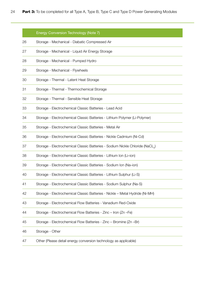|    | Energy Conversion Technology (Note 7)                                                     |
|----|-------------------------------------------------------------------------------------------|
| 26 | Storage - Mechanical - Diabatic Compressed Air                                            |
| 27 | Storage - Mechanical - Liquid Air Energy Storage                                          |
| 28 | Storage - Mechanical - Pumped Hydro                                                       |
| 29 | Storage - Mechanical - Flywheels                                                          |
| 30 | Storage - Thermal - Latent Heat Storage                                                   |
| 31 | Storage - Thermal - Thermochemical Storage                                                |
| 32 | Storage - Thermal - Sensible Heat Storage                                                 |
| 33 | Storage - Electrochemical Classic Batteries - Lead Acid                                   |
| 34 | Storage - Electrochemical Classic Batteries - Lithium Polymer (Li-Polymer)                |
| 35 | Storage - Electrochemical Classic Batteries - Metal Air                                   |
| 36 | Storage - Electrochemical Classic Batteries - Nickle Cadmium (Ni-Cd)                      |
| 37 | Storage - Electrochemical Classic Batteries - Sodium Nickle Chloride (NaCL <sub>2</sub> ) |
| 38 | Storage - Electrochemical Classic Batteries - Lithium Ion (Li-ion)                        |
| 39 | Storage - Electrochemical Classic Batteries - Sodium Ion (Na-ion)                         |
| 40 | Storage - Electrochemical Classic Batteries - Lithium Sulphur (Li-S)                      |
| 41 | Storage - Electrochemical Classic Batteries - Sodium Sulphur (Na-S)                       |
| 42 | Storage - Electrochemical Classic Batteries - Nickle - Metal Hydride (Ni-MH)              |
| 43 | Storage - Electrochemical Flow Batteries - Vanadium Red-Oxide                             |
| 44 | Storage - Electrochemical Flow Batteries - Zinc - Iron (Zn -Fe)                           |
| 45 | Storage - Electrochemical Flow Batteries - Zinc - Bromine (Zn - Br)                       |
| 46 | Storage - Other                                                                           |
| 47 | Other (Please detail energy conversion technology as applicable)                          |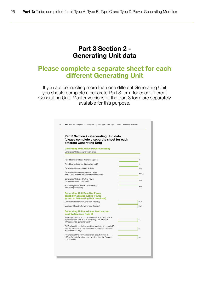#### Part 3 Section 2 - Generating Unit data

#### Please complete a separate sheet for each different Generating Unit

If you are connecting more than one different Generating Unit you should complete a separate Part 3 form for each different Generating Unit. Master versions of the Part 3 form are separately available for this purpose.

| Part 3 Section 2 - Generating Unit data<br>(please complete a separate sheet for each<br>different Generating Unit)                                      |            |  |  |
|----------------------------------------------------------------------------------------------------------------------------------------------------------|------------|--|--|
| <b>Generating Unit Active Power capability</b>                                                                                                           |            |  |  |
| Generating Unit descriptor / reference                                                                                                                   |            |  |  |
| Rated terminal voltage (Generating Unit)                                                                                                                 | V          |  |  |
| Rated terminal current (Generating Unit)                                                                                                                 | A          |  |  |
| Generating Unit registered capacity                                                                                                                      | <b>MW</b>  |  |  |
| Generating Unit apparent power rating<br>(to be used as base for generator parameters)                                                                   | <b>MVA</b> |  |  |
| Generating Unit rated Active Power<br>(gross at generator terminals)                                                                                     | <b>MW</b>  |  |  |
| Generating Unit minimum Active Power<br>(minimum generation)                                                                                             | MW         |  |  |
| <b>Generating Unit Reactive Power</b><br>capability at rated Active Power<br>(gross, at Generating Unit terminals)                                       |            |  |  |
| Maximum Reactive Power export (lagging)                                                                                                                  | MVAr       |  |  |
| Maximum Reactive Power import (leading)                                                                                                                  | MVAr       |  |  |
| <b>Generating Unit maximum fault current</b><br>contribution (see Note 8)                                                                                |            |  |  |
| Peak asymmetrical short circuit current at 10ms (ip) for a<br>30 short circuit fault at the Generating Unit terminals<br>(HV connected generators only)  | kA         |  |  |
| RMS value of the initial symmetrical short circuit current (Ik")<br>for a 3¢ short circuit fault at the Generating Unit terminals<br>(HV connected only) | kA         |  |  |
| RMS value of the symmetrical short circuit current at<br>100ms (Ik(100)) for a 3 $\phi$ short circuit fault at the Generating<br>Unit terminals          | kA         |  |  |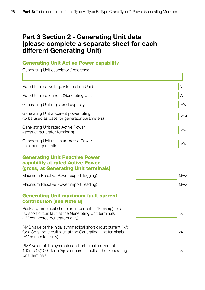## Part 3 Section 2 - Generating Unit data (please complete a separate sheet for each different Generating Unit)

#### Generating Unit Active Power capability

Generating Unit descriptor / reference

| Rated terminal voltage (Generating Unit)                                                                                                                             | $\vee$      |
|----------------------------------------------------------------------------------------------------------------------------------------------------------------------|-------------|
| Rated terminal current (Generating Unit)                                                                                                                             | Α           |
| Generating Unit registered capacity                                                                                                                                  | <b>MW</b>   |
| Generating Unit apparent power rating<br>(to be used as base for generator parameters)                                                                               | <b>MVA</b>  |
| Generating Unit rated Active Power<br>(gross at generator terminals)                                                                                                 | <b>MW</b>   |
| Generating Unit minimum Active Power<br>(minimum generation)                                                                                                         | <b>MW</b>   |
| <b>Generating Unit Reactive Power</b><br><b>capability at rated Active Power</b><br>(gross, at Generating Unit terminals)                                            |             |
| Maximum Reactive Power export (lagging)                                                                                                                              | <b>MVAr</b> |
| Maximum Reactive Power import (leading)                                                                                                                              | <b>MVAr</b> |
| <b>Generating Unit maximum fault current</b><br><b>contribution (see Note 8)</b>                                                                                     |             |
| Peak asymmetrical short circuit current at 10ms (ip) for a<br>3 <sub>0</sub> short circuit fault at the Generating Unit terminals<br>(HV connected generators only)  | kA          |
| RMS value of the initial symmetrical short circuit current (Ik")<br>for a 3 <sub>0</sub> short circuit fault at the Generating Unit terminals<br>(HV connected only) | kA          |
|                                                                                                                                                                      |             |

kA

RMS value of the symmetrical short circuit current at 100ms (Ik(100)) for a 3φ short circuit fault at the Generating Unit terminals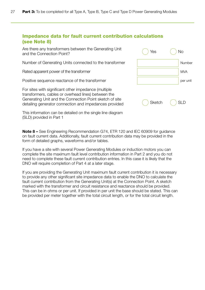#### Impedance data for fault current contribution calculations (see Note 8)

Are there any transformers between the Generating Unit and the Connection Point?

Number of Generating Units connected to the transformer

Rated apparent power of the transformer

Positive sequence reactance of the transformer

For sites with significant other impedance (multiple transformers, cables or overhead lines) between the Generating Unit and the Connection Point sketch of site detailing generator connection and impedances provided

Number **MVA** per unit Sketch () SLD  $Yes$   $($   $) No$ 

This information can be detailed on the single line diagram (SLD) provided in Part 1

Note 8 – See Engineering Recommendation G74, ETR 120 and IEC 60909 for guidance on fault current data. Additionally, fault current contribution data may be provided in the form of detailed graphs, waveforms and/or tables.

If you have a site with several Power Generating Modules or induction motors you can complete the site maximum fault level contribution information in Part 2 and you do not need to complete these fault current contribution entries. In this case it is likely that the DNO will require completion of Part 4 at a later stage.

If you are providing the Generating Unit maximum fault current contribution it is necessary to provide any other significant site impedance data to enable the DNO to calculate the fault current contribution from the Generating Unit(s) at the Connection Point. A sketch marked with the transformer and circuit resistance and reactance should be provided. This can be in ohms or per unit. If provided in per unit the base should be stated. This can be provided per meter together with the total circuit length, or for the total circuit length.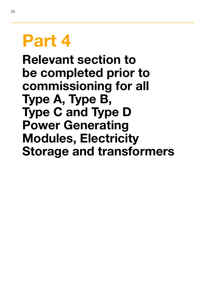# Part 4

Relevant section to be completed prior to commissioning for all Type A, Type B, Type C and Type D Power Generating Modules, Electricity Storage and transformers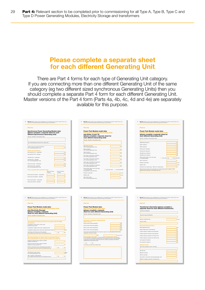### Please complete a separate sheet for each different Generating Unit

There are Part 4 forms for each type of Generating Unit category. If you are connecting more than one different Generating Unit of the same category (eg two different sized synchronous Generating Units) then you should complete a separate Part 4 form for each different Generating Unit. Master versions of the Part 4 form (Parts 4a, 4b, 4c, 4d and 4e) are separately available for this purpose.

| Part 4a                                                                                                                                                                                                                                                                                                                                                                                                                                                                                                                                                                                                                                                                                                                                                                                                                                                                                                      | Part 4b                                                                                                                                                                                                     | Part 4c                                                                                                                                                                            |
|--------------------------------------------------------------------------------------------------------------------------------------------------------------------------------------------------------------------------------------------------------------------------------------------------------------------------------------------------------------------------------------------------------------------------------------------------------------------------------------------------------------------------------------------------------------------------------------------------------------------------------------------------------------------------------------------------------------------------------------------------------------------------------------------------------------------------------------------------------------------------------------------------------------|-------------------------------------------------------------------------------------------------------------------------------------------------------------------------------------------------------------|------------------------------------------------------------------------------------------------------------------------------------------------------------------------------------|
| <b>Synchronous Power Generating Module data:</b><br>(please complete a separate sheet for each<br>different Synchronous Generating Unit)<br>Name(s) / identifiers of Generating Unit(s)                                                                                                                                                                                                                                                                                                                                                                                                                                                                                                                                                                                                                                                                                                                      | Power Park Module model data:<br><b>Generating Units</b><br>induct<br>(see Notes 12 and 13)<br>(please complete a separate sheet for                                                                        | Power Park Module model data:<br><b>Units</b><br>oubly fed induction Generating<br>(please complete a separate sheet for<br>each different Generating Unit)                        |
|                                                                                                                                                                                                                                                                                                                                                                                                                                                                                                                                                                                                                                                                                                                                                                                                                                                                                                              | each different Generating Unit)<br>Name(s) / identifiers of Generating Unit(s)                                                                                                                              | Name(s) / identifiers of Generating Unit(s)                                                                                                                                        |
| Type of Generating Unit (wound rotor, salent pole)                                                                                                                                                                                                                                                                                                                                                                                                                                                                                                                                                                                                                                                                                                                                                                                                                                                           |                                                                                                                                                                                                             | Magnetising reactance                                                                                                                                                              |
|                                                                                                                                                                                                                                                                                                                                                                                                                                                                                                                                                                                                                                                                                                                                                                                                                                                                                                              | Magnetising reactance                                                                                                                                                                                       | Stator resistance                                                                                                                                                                  |
| Positive sequence (armature) resistance<br>(HV connected generators only)                                                                                                                                                                                                                                                                                                                                                                                                                                                                                                                                                                                                                                                                                                                                                                                                                                    | (HV connected generators only)                                                                                                                                                                              | Stator reactance                                                                                                                                                                   |
| <b>Direct axis reactances</b>                                                                                                                                                                                                                                                                                                                                                                                                                                                                                                                                                                                                                                                                                                                                                                                                                                                                                | Stator resistance<br>(HV connected generators only)<br><b>Links</b>                                                                                                                                         | Running rotor resistance<br>Running rotor reactance                                                                                                                                |
| Sub-transient (X°d) - unsaturated                                                                                                                                                                                                                                                                                                                                                                                                                                                                                                                                                                                                                                                                                                                                                                                                                                                                            | Stator reactance<br>(HV connected generators only)<br>par<br>unit                                                                                                                                           | Standstill rotor resistance                                                                                                                                                        |
| Sub-transient (X"d) - saturated                                                                                                                                                                                                                                                                                                                                                                                                                                                                                                                                                                                                                                                                                                                                                                                                                                                                              |                                                                                                                                                                                                             | Standstill rotor reactance                                                                                                                                                         |
| Transient (X'd) - unsaturated                                                                                                                                                                                                                                                                                                                                                                                                                                                                                                                                                                                                                                                                                                                                                                                                                                                                                | Inner cage or running rotor resistance<br>(HV connected generators only)                                                                                                                                    | State whether data is inner-outer cage                                                                                                                                             |
| Transient (X'd) - saturated                                                                                                                                                                                                                                                                                                                                                                                                                                                                                                                                                                                                                                                                                                                                                                                                                                                                                  | Inner cage or running rotor reactance<br><b>Cold</b>                                                                                                                                                        | nner-outer cage nunning-standst<br>or running-standstill                                                                                                                           |
| per<br>unit<br>(HV connected generators only)                                                                                                                                                                                                                                                                                                                                                                                                                                                                                                                                                                                                                                                                                                                                                                                                                                                                | (HV connected generators only)<br>Outer cage or standstill rotor resistance                                                                                                                                 | Rotor current limit                                                                                                                                                                |
| Synchronous (Xd) - unsaturated                                                                                                                                                                                                                                                                                                                                                                                                                                                                                                                                                                                                                                                                                                                                                                                                                                                                               | $\int_{\text{unit}}^{\text{par}}$<br>(HV connected generators only)                                                                                                                                         | Number of pole pairs                                                                                                                                                               |
| Synchronous (Xd) - saturated                                                                                                                                                                                                                                                                                                                                                                                                                                                                                                                                                                                                                                                                                                                                                                                                                                                                                 | Outer cage or standstill rotor reactance<br>(HV connected generators only)                                                                                                                                  | Gearbox ratio                                                                                                                                                                      |
| (HV connected generators only)                                                                                                                                                                                                                                                                                                                                                                                                                                                                                                                                                                                                                                                                                                                                                                                                                                                                               | State whether data is inner-outer cage                                                                                                                                                                      | Generator rotor speed range - Minimum to rated speed<br>Electrical power output versus generator rotor speed please attach a graph or table                                        |
| Time constants (HV connected only):<br>Short circuit time<br>Open circuit time                                                                                                                                                                                                                                                                                                                                                                                                                                                                                                                                                                                                                                                                                                                                                                                                                               | nner-outer cage nunning-standstill<br>or running-standstill<br>(HV generators connected only)                                                                                                               | Please insert the file name of the attachment here                                                                                                                                 |
| constant<br>constant                                                                                                                                                                                                                                                                                                                                                                                                                                                                                                                                                                                                                                                                                                                                                                                                                                                                                         | Number of pole pairs<br>numba                                                                                                                                                                               |                                                                                                                                                                                    |
| Direct-axis sub-transient - unsaturated                                                                                                                                                                                                                                                                                                                                                                                                                                                                                                                                                                                                                                                                                                                                                                                                                                                                      | Gearbox ratio<br>number                                                                                                                                                                                     |                                                                                                                                                                                    |
| Direct-axis sub-transient - saturated                                                                                                                                                                                                                                                                                                                                                                                                                                                                                                                                                                                                                                                                                                                                                                                                                                                                        | Slip at rated output                                                                                                                                                                                        |                                                                                                                                                                                    |
| Direct-axis transient - unsaturated                                                                                                                                                                                                                                                                                                                                                                                                                                                                                                                                                                                                                                                                                                                                                                                                                                                                          | (HV connected generators only)                                                                                                                                                                              |                                                                                                                                                                                    |
| Direct-axis transient -saturated                                                                                                                                                                                                                                                                                                                                                                                                                                                                                                                                                                                                                                                                                                                                                                                                                                                                             |                                                                                                                                                                                                             |                                                                                                                                                                                    |
|                                                                                                                                                                                                                                                                                                                                                                                                                                                                                                                                                                                                                                                                                                                                                                                                                                                                                                              |                                                                                                                                                                                                             |                                                                                                                                                                                    |
|                                                                                                                                                                                                                                                                                                                                                                                                                                                                                                                                                                                                                                                                                                                                                                                                                                                                                                              |                                                                                                                                                                                                             |                                                                                                                                                                                    |
| Part 4d: Relevant section to be completed prior to commissioning for all Type A, Type B, Type C and<br>Type D Power Generating Modules, Electricity Storage and transformers                                                                                                                                                                                                                                                                                                                                                                                                                                                                                                                                                                                                                                                                                                                                 | 39<br>Part 4es Relevant section to be completed prior to commissioning for all Type A, Type B, Type C and<br>Type D Power Generating Modules, Electricity Storage and transformers                          | 43<br>Part 4f: Relevant section to be completed prior to commissioning for all Type A, Type B, Type C and<br>Type D Power Generating Modules, Electricity Storage and transformers |
| Part 4d                                                                                                                                                                                                                                                                                                                                                                                                                                                                                                                                                                                                                                                                                                                                                                                                                                                                                                      | Part 4e                                                                                                                                                                                                     | Part 4f                                                                                                                                                                            |
| Power Park Module model data:<br>erter connected Generating Units<br>(non Electricity Storage)<br>(please complete a separate                                                                                                                                                                                                                                                                                                                                                                                                                                                                                                                                                                                                                                                                                                                                                                                | Power Park Module data:<br>tricity Storage plant data:<br>(please complete a separate<br>sheet for each different Generating Unit)                                                                          | Transformer information (please complete a<br>separate sheet for each different transformer)<br>Transformer identifier(s)                                                          |
|                                                                                                                                                                                                                                                                                                                                                                                                                                                                                                                                                                                                                                                                                                                                                                                                                                                                                                              | Name(s) / identifiers of Generating Unit(s)                                                                                                                                                                 | Transformer type (Unit/Station)                                                                                                                                                    |
|                                                                                                                                                                                                                                                                                                                                                                                                                                                                                                                                                                                                                                                                                                                                                                                                                                                                                                              |                                                                                                                                                                                                             |                                                                                                                                                                                    |
|                                                                                                                                                                                                                                                                                                                                                                                                                                                                                                                                                                                                                                                                                                                                                                                                                                                                                                              | <b>Description of Dynamic Requirements</b>                                                                                                                                                                  | Number of identical units                                                                                                                                                          |
|                                                                                                                                                                                                                                                                                                                                                                                                                                                                                                                                                                                                                                                                                                                                                                                                                                                                                                              | (Active Power)<br><b>ABA</b>                                                                                                                                                                                | Type of cooling                                                                                                                                                                    |
|                                                                                                                                                                                                                                                                                                                                                                                                                                                                                                                                                                                                                                                                                                                                                                                                                                                                                                              | Import: power ramp rate (positive)<br>sec<br>MW                                                                                                                                                             |                                                                                                                                                                                    |
|                                                                                                                                                                                                                                                                                                                                                                                                                                                                                                                                                                                                                                                                                                                                                                                                                                                                                                              | Import: power ramp rate (negative)<br>\$60<br>MW                                                                                                                                                            | <b>Electrical Characteristics</b><br>Rated (apparent) power                                                                                                                        |
| M/A                                                                                                                                                                                                                                                                                                                                                                                                                                                                                                                                                                                                                                                                                                                                                                                                                                                                                                          | Export: power ramp rate (positive)<br><b>MA</b><br>Export: power ramp rate (negative)                                                                                                                       | Rated voltage ratio (on principal tap)                                                                                                                                             |
|                                                                                                                                                                                                                                                                                                                                                                                                                                                                                                                                                                                                                                                                                                                                                                                                                                                                                                              | If the power swing will transition from import to export or vice-versa please state the total                                                                                                               | Positive sequence resistance at principal tap                                                                                                                                      |
| O <sub>NO</sub><br>$O$ Yes                                                                                                                                                                                                                                                                                                                                                                                                                                                                                                                                                                                                                                                                                                                                                                                                                                                                                   | magnitude of the power swing:                                                                                                                                                                               | Positive sequence reactance at principal tap                                                                                                                                       |
|                                                                                                                                                                                                                                                                                                                                                                                                                                                                                                                                                                                                                                                                                                                                                                                                                                                                                                              | MW<br>Up/down/both                                                                                                                                                                                          | Positive sequence reactance at minimum tap                                                                                                                                         |
|                                                                                                                                                                                                                                                                                                                                                                                                                                                                                                                                                                                                                                                                                                                                                                                                                                                                                                              | For the intended control mode or to meet a specific commercial service, are there any                                                                                                                       | Positive sequence reactance at maximum tap                                                                                                                                         |
|                                                                                                                                                                                                                                                                                                                                                                                                                                                                                                                                                                                                                                                                                                                                                                                                                                                                                                              | known technical or operational requirements? For example the scheme may be required to operate at a Power Factor other than that which might be required by the DNO as<br>measured at the Connection Point? | Zero seguence resistance                                                                                                                                                           |
|                                                                                                                                                                                                                                                                                                                                                                                                                                                                                                                                                                                                                                                                                                                                                                                                                                                                                                              | $O$ Yes $O$ No                                                                                                                                                                                              | Zero seguence reactance                                                                                                                                                            |
|                                                                                                                                                                                                                                                                                                                                                                                                                                                                                                                                                                                                                                                                                                                                                                                                                                                                                                              | If yes please provide further details below                                                                                                                                                                 | <b>Voltage Control</b>                                                                                                                                                             |
| $\bigcap$ No<br>$\bigcap$ Yes                                                                                                                                                                                                                                                                                                                                                                                                                                                                                                                                                                                                                                                                                                                                                                                                                                                                                |                                                                                                                                                                                                             | Type of tap changer (on load / off circuit)                                                                                                                                        |
| sheet for each different Generating Unit)<br>Name(s) / identifiers of Generating Unit(s)<br>Generating Unit Voltage Control (to be agreed with the DNO)<br>(see Note 9)<br>If operating in Power Factor control mode,<br>preferred Power Factor<br>If operating in voltage control mode, voltage set point<br>If operating in reactive power control mode, reactive power set point<br>Generating Unit Performance Chart attached<br>If yes, please insert the file name of the attachment here<br>HV Connected Type A, Type B, Type C and Type D Power<br><b>Generating Module frequency and excitation (see Note 9)</b><br>Frequency response Droop setting in LFSM-O<br>(All Types, see Note 10)<br>Frequency response Droop setting in LFSM-U<br>(Types C & D only, see Note 10)<br>Governor and prime mover model attached (see Note 11).<br>If yes, please insert the file name of the attachment here |                                                                                                                                                                                                             |                                                                                                                                                                                    |
|                                                                                                                                                                                                                                                                                                                                                                                                                                                                                                                                                                                                                                                                                                                                                                                                                                                                                                              |                                                                                                                                                                                                             | Tap step size                                                                                                                                                                      |
|                                                                                                                                                                                                                                                                                                                                                                                                                                                                                                                                                                                                                                                                                                                                                                                                                                                                                                              |                                                                                                                                                                                                             | Maximum ratio tap                                                                                                                                                                  |
| Total effective inertia constant<br>HV connected generators only<br>AVR / excitation model attached<br>$O$ Yes<br>$\bigcap$ No<br>If yes, please insert the file name of the attachment here                                                                                                                                                                                                                                                                                                                                                                                                                                                                                                                                                                                                                                                                                                                 |                                                                                                                                                                                                             | Minimum ratio tap<br>Tap position in service (for off load tapchangers only)                                                                                                       |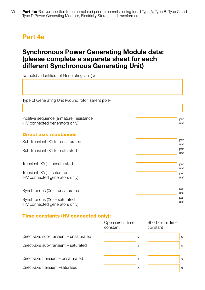## Part 4a

## Synchronous Power Generating Module data: (please complete a separate sheet for each different Synchronous Generating Unit)

Name(s) / identifiers of Generating Unit(s)

Type of Generating Unit (wound rotor, salient pole)

Positive sequence (armature) resistance (HV connected generators only)

#### Direct axis reactances

Sub-transient (X"d) – unsaturated

Sub-transient (X"d) – saturated

Transient (X'd) – unsaturated

Transient (X'd) – saturated (HV connected generators only)

Synchronous (Xd) – unsaturated

Synchronous (Xd) – saturated (HV connected generators only)

#### Time constants (HV connected only):

|                                         | Open circuit time<br>constant | Short circuit time<br>constant |
|-----------------------------------------|-------------------------------|--------------------------------|
| Direct-axis sub-transient – unsaturated | S                             | S                              |
| Direct-axis sub-transient - saturated   | S                             | S                              |
| Direct-axis transient – unsaturated     | S                             | S                              |
| Direct-axis transient -saturated        | S                             |                                |



per unit



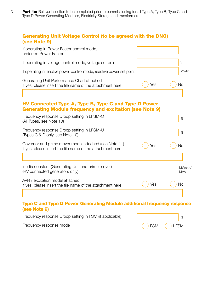#### Generating Unit Voltage Control (to be agreed with the DNO) (see Note 9)

| If operating in Power Factor control mode,<br>preferred Power Factor                                     |     |      |
|----------------------------------------------------------------------------------------------------------|-----|------|
| If operating in voltage control mode, voltage set point                                                  |     |      |
| If operating in reactive power control mode, reactive power set point                                    |     | MVAr |
| Generating Unit Performance Chart attached<br>If yes, please insert the file name of the attachment here | Yes | Nο   |

#### HV Connected Type A, Type B, Type C and Type D Power Generating Module frequency and excitation (see Note 9)

|     | $\%$                 |
|-----|----------------------|
|     | $\%$                 |
| Yes | No                   |
|     | MWsec/<br><b>MVA</b> |
| Yes | Νo                   |
|     |                      |

#### Type C and Type D Power Generating Module additional frequency response (see Note 9)

Frequency response Droop setting in FSM (if applicable)

 $\%$ FSM  $()$  LFSM

Frequency response mode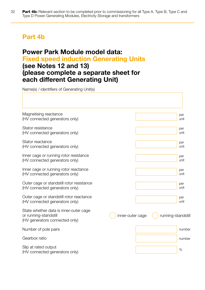## Part 4b

### Power Park Module model data: Fixed speed induction Generating Units (see Notes 12 and 13) (please complete a separate sheet for each different Generating Unit)

Name(s) / identifiers of Generating Unit(s)

| Magnetising reactance<br>(HV connected generators only)                                           |                  | per<br>unit        |
|---------------------------------------------------------------------------------------------------|------------------|--------------------|
| Stator resistance<br>(HV connected generators only)                                               |                  | per<br>unit        |
| Stator reactance<br>(HV connected generators only)                                                |                  | per<br>unit        |
| Inner cage or running rotor resistance<br>(HV connected generators only)                          |                  | per<br>unit        |
| Inner cage or running rotor reactance<br>(HV connected generators only)                           |                  | per<br>unit        |
| Outer cage or standstill rotor resistance<br>(HV connected generators only)                       |                  | per<br>unit        |
| Outer cage or standstill rotor reactance<br>(HV connected generators only)                        |                  | per<br>unit        |
| State whether data is inner-outer cage<br>or running-standstill<br>(HV generators connected only) | inner-outer cage | running-standstill |
| Number of pole pairs                                                                              |                  | number             |
| Gearbox ratio                                                                                     |                  | number             |
| Slip at rated output<br>(HV connected generators only)                                            |                  | $\%$               |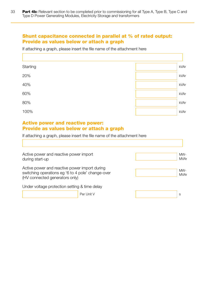#### Shunt capacitance connected in parallel at % of rated output: Provide as values below or attach a graph

If attaching a graph, please insert the file name of the attachment here

| Starting | kVAr |
|----------|------|
| 20%      | kVAr |
| 40%      | kVAr |
| 60%      | kVAr |
| 80%      | kVAr |
| 100%     | kVAr |

#### Active power and reactive power: Provide as values below or attach a graph

If attaching a graph, please insert the file name of the attachment here

| Active power and reactive power import<br>during start-up                                                                            |            | MW-<br><b>MVAr</b> |
|--------------------------------------------------------------------------------------------------------------------------------------|------------|--------------------|
| Active power and reactive power import during<br>switching operations eg '6 to 4 pole' change-over<br>(HV connected generators only) |            | MW-<br><b>MVAr</b> |
| Under voltage protection setting & time delay                                                                                        |            |                    |
|                                                                                                                                      | Per Unit V | S                  |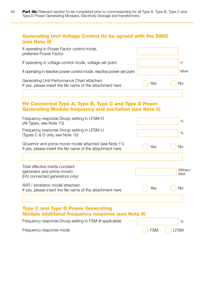#### Generating Unit Voltage Control (to be agreed with the DNO) (see Note 9)

| If operating in Power Factor control mode,<br>preferred Power Factor                                     |     |      |
|----------------------------------------------------------------------------------------------------------|-----|------|
| If operating in voltage control mode, voltage set point                                                  |     |      |
| If operating in reactive power control mode, reactive power set point                                    |     | MVAr |
| Generating Unit Performance Chart attached<br>If yes, please insert the file name of the attachment here | Yes | Nο   |

#### HV Connected Type A, Type B, Type C and Type D Power Generating Module frequency and excitation (see Note 9)

| Frequency response Droop setting in LFSM-O<br>(All Types, see Note 10)                                              |            | %                    |
|---------------------------------------------------------------------------------------------------------------------|------------|----------------------|
| Frequency response Droop setting in LFSM-U<br>(Types C & D only, see Note 10)                                       |            | %                    |
| Governor and prime mover model attached (see Note 11)<br>If yes, please insert the file name of the attachment here | Yes        | No                   |
| Total effective inertia constant<br>(generator and prime mover)<br>(HV connected generators only)                   |            | MWsec/<br><b>MVA</b> |
| AVR / excitation model attached<br>If yes, please insert the file name of the attachment here                       | Yes        | No                   |
| <b>Type C and Type D Power Generating</b><br><b>Module additional frequency response (see Note 9)</b>               |            |                      |
| Frequency response Droop setting in FSM (if applicable)                                                             |            | %                    |
| Frequency response mode                                                                                             | <b>FSM</b> | <b>FSM</b>           |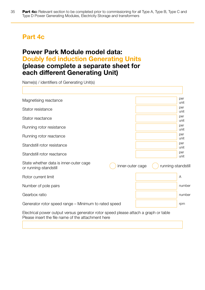## Part 4c

### Power Park Module model data: Doubly fed induction Generating Units (please complete a separate sheet for each different Generating Unit)

Name(s) / identifiers of Generating Unit(s)

| Magnetising reactance                                           |                  |                    | per<br>unit |
|-----------------------------------------------------------------|------------------|--------------------|-------------|
| Stator resistance                                               |                  |                    | per<br>unit |
| Stator reactance                                                |                  |                    | per<br>unit |
| Running rotor resistance                                        |                  |                    | per<br>unit |
| Running rotor reactance                                         |                  |                    | per<br>unit |
| Standstill rotor resistance                                     |                  |                    | per<br>unit |
| Standstill rotor reactance                                      |                  |                    | per<br>unit |
| State whether data is inner-outer cage<br>or running-standstill | inner-outer cage | running-standstill |             |
| Rotor current limit                                             |                  |                    | A           |
| Number of pole pairs                                            |                  |                    | number      |
| Gearbox ratio                                                   |                  |                    | number      |
| Generator rotor speed range – Minimum to rated speed            |                  |                    | rpm         |
|                                                                 |                  |                    |             |

Electrical power output versus generator rotor speed please attach a graph or table Please insert the file name of the attachment here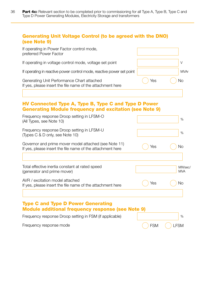#### Generating Unit Voltage Control (to be agreed with the DNO) (see Note 9)

| If operating in Power Factor control mode,<br>preferred Power Factor                                     |     |      |
|----------------------------------------------------------------------------------------------------------|-----|------|
| If operating in voltage control mode, voltage set point                                                  |     |      |
| If operating in reactive power control mode, reactive power set point                                    |     | MVAr |
| Generating Unit Performance Chart attached<br>If yes, please insert the file name of the attachment here | Yes | No   |
|                                                                                                          |     |      |

#### HV Connected Type A, Type B, Type C and Type D Power Generating Module frequency and excitation (see Note 9)

| Frequency response Droop setting in LFSM-O<br>(All Types, see Note 10)                                              |     | $\%$                 |
|---------------------------------------------------------------------------------------------------------------------|-----|----------------------|
| Frequency response Droop setting in LFSM-U<br>(Types C & D only, see Note 10)                                       |     | $\%$                 |
| Governor and prime mover model attached (see Note 11)<br>If yes, please insert the file name of the attachment here | Yes | No                   |
|                                                                                                                     |     |                      |
| Total effective inertia constant at rated speed<br>(generator and prime mover)                                      |     | MWsec/<br><b>MVA</b> |
| AVR / excitation model attached<br>If yes, please insert the file name of the attachment here                       | Yes | No                   |
|                                                                                                                     |     |                      |
| <b>Type C and Type D Power Generating</b><br>Module additional frequency response (see Note 9)                      |     |                      |
| Frequency response Droop setting in FSM (if applicable)                                                             |     | %                    |

FSM () LFSM

Frequency response mode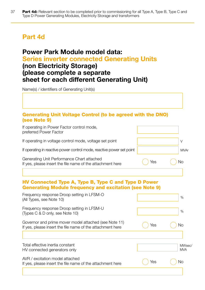## Part 4d

### Power Park Module model data: Series inverter connected Generating Units (non Electricity Storage) (please complete a separate sheet for each different Generating Unit)

Name(s) / identifiers of Generating Unit(s)

#### Generating Unit Voltage Control (to be agreed with the DNO) (see Note 9)

| If operating in Power Factor control mode,<br>preferred Power Factor                                                |     |                      |
|---------------------------------------------------------------------------------------------------------------------|-----|----------------------|
| If operating in voltage control mode, voltage set point                                                             |     | $\vee$               |
| If operating in reactive power control mode, reactive power set point                                               |     | <b>MVAr</b>          |
| Generating Unit Performance Chart attached<br>If yes, please insert the file name of the attachment here            | Yes | No                   |
| HV Connected Type A, Type B, Type C and Type D Power                                                                |     |                      |
| <b>Generating Module frequency and excitation (see Note 9)</b>                                                      |     |                      |
| Frequency response Droop setting in LFSM-O<br>(All Types, see Note 10)                                              |     | $\%$                 |
| Frequency response Droop setting in LFSM-U<br>(Types C & D only, see Note 10)                                       |     | $\%$                 |
| Governor and prime mover model attached (see Note 11)<br>If yes, please insert the file name of the attachment here | Yes | <b>No</b>            |
|                                                                                                                     |     |                      |
| Total effective inertia constant<br>HV connected generators only                                                    |     | MWsec/<br><b>MVA</b> |
| AVR / excitation model attached<br>If yes, please insert the file name of the attachment here                       | Yes | No                   |
|                                                                                                                     |     |                      |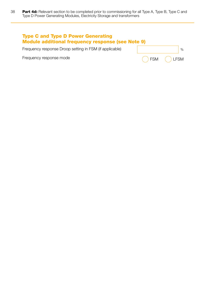| <b>Type C and Type D Power Generating</b><br><b>Module additional frequency response (see Note 9)</b> |              |
|-------------------------------------------------------------------------------------------------------|--------------|
| Frequency response Droop setting in FSM (if applicable)                                               |              |
| Frequency response mode                                                                               | ()FSM ()LFSM |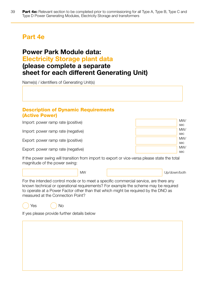## Part 4e

#### Power Park Module data: Electricity Storage plant data (please complete a separate sheet for each different Generating Unit)

Name(s) / identifiers of Generating Unit(s)

#### Description of Dynamic Requirements (Active Power)

Import: power ramp rate (positive)

Import: power ramp rate (negative)

Export: power ramp rate (positive)

Export: power ramp rate (negative)

| MW/ |
|-----|
| sec |
| MW/ |
| sec |
| MW/ |
| sec |
| MW/ |
| sec |

If the power swing will transition from import to export or vice-versa please state the total magnitude of the power swing:

MW Up/down/both

For the intended control mode or to meet a specific commercial service, are there any known technical or operational requirements? For example the scheme may be required to operate at a Power Factor other than that which might be required by the DNO as measured at the Connection Point?



If yes please provide further details below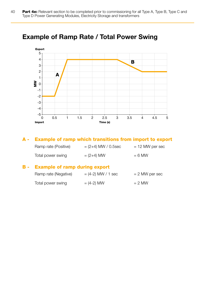

## Example of Ramp Rate / Total Power Swing

#### A - Example of ramp which transitions from import to export

| Ramp rate (Positive) | $=(2+4)$ MW / 0.5sec | $= 12$ MW per sec |
|----------------------|----------------------|-------------------|
| Total power swing    | $= (2+4)$ MW         | $= 6$ MW          |

#### B - Example of ramp during export

| Ramp rate (Negative) | $=$ (4-2) MW / 1 sec | $= 2$ MW per sec |
|----------------------|----------------------|------------------|
| Total power swing    | $= (4-2)$ MW         | $= 2$ MW         |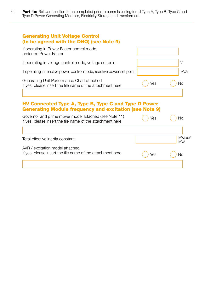41 **Part 4e:** Relevant section to be completed prior to commissioning for all Type A, Type B, Type C and Type D Power Generating Modules, Electricity Storage and transformers

| <b>Generating Unit Voltage Control</b><br>(to be agreed with the DNO) (see Note 9)<br>If operating in Power Factor control mode, |     |                      |
|----------------------------------------------------------------------------------------------------------------------------------|-----|----------------------|
| preferred Power Factor                                                                                                           |     |                      |
| If operating in voltage control mode, voltage set point                                                                          |     | V                    |
| If operating in reactive power control mode, reactive power set point                                                            |     | <b>MVAr</b>          |
| Generating Unit Performance Chart attached<br>If yes, please insert the file name of the attachment here                         | Yes | No                   |
|                                                                                                                                  |     |                      |
| HV Connected Type A, Type B, Type C and Type D Power<br><b>Generating Module frequency and excitation (see Note 9)</b>           |     |                      |
|                                                                                                                                  |     |                      |
| Governor and prime mover model attached (see Note 11)<br>If yes, please insert the file name of the attachment here              | Yes | No                   |
|                                                                                                                                  |     |                      |
| Total effective inertia constant                                                                                                 |     | MWsec/<br><b>MVA</b> |
| AVR / excitation model attached                                                                                                  |     |                      |
| If yes, please insert the file name of the attachment here                                                                       | Yes | No                   |
|                                                                                                                                  |     |                      |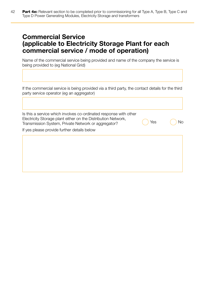## Commercial Service (applicable to Electricity Storage Plant for each commercial service / mode of operation)

Name of the commercial service being provided and name of the company the service is being provided to (eg National Grid)

If the commercial service is being provided via a third party, the contact details for the third party service operator (eg an aggregator)

| Yes | Νo |
|-----|----|
|     |    |
|     |    |
|     |    |
|     |    |
|     |    |
|     |    |
|     |    |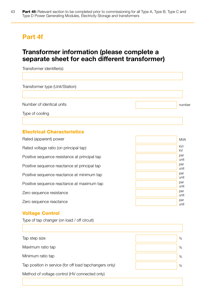## Part 4f

## Transformer information (please complete a separate sheet for each different transformer)

| Transformer identifier(s)       |        |
|---------------------------------|--------|
|                                 |        |
| Transformer type (Unit/Station) |        |
|                                 |        |
| Number of identical units       | number |
| Type of cooling                 |        |
|                                 |        |

#### Electrical Characteristics

| Rated (apparent) power                        |  |
|-----------------------------------------------|--|
| Rated voltage ratio (on principal tap)        |  |
| Positive sequence resistance at principal tap |  |
| Positive sequence reactance at principal tap  |  |
| Positive sequence reactance at minimum tap    |  |
| Positive sequence reactance at maximum tap    |  |
| Zero sequence resistance                      |  |
| Zero sequence reactance                       |  |

#### Voltage Control

Type of tap changer (on load / off circuit)

| Tap step size                                           | $\%$ |
|---------------------------------------------------------|------|
| Maximum ratio tap                                       | %    |
| Minimum ratio tap                                       | $\%$ |
| Tap position in service (for off load tapchangers only) | $\%$ |
| Method of voltage control (HV connected only)           |      |

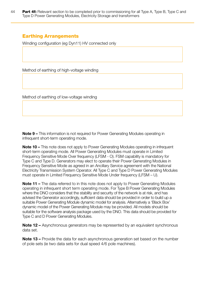#### Earthing Arrangements

Winding configuration (eg Dyn11) HV connected only

Method of earthing of high-voltage winding

Method of earthing of low-voltage winding

Note 9 – This information is not required for Power Generating Modules operating in infrequent short-term operating mode.

Note 10 – This note does not apply to Power Generating Modules operating in infrequent short-term operating mode. All Power Generating Modules must operate in Limited Frequency Sensitive Mode Over frequency (LFSM - O). FSM capability is mandatory for Type C and Type D. Generators may elect to operate their Power Generating Modules in Frequency Sensitive Mode as agreed in an Ancillary Service agreement with the National Electricity Transmission System Operator. All Type C and Type D Power Generating Modules must operate in Limited Frequency Sensitive Mode Under frequency (LFSM – U).

Note 11 – The data referred to in this note does not apply to Power Generating Modules operating in infrequent short term operating mode. For Type B Power Generating Modules where the DNO considers that the stability and security of the network is at risk, and has advised the Generator accordingly, sufficient data should be provided in order to build up a suitable Power Generating Module dynamic model for analysis. Alternatively a 'Black Box' dynamic model of the Power Generating Module may be provided. All models should be suitable for the software analysis package used by the DNO. This data should be provided for Type C and D Power Generating Modules.

Note 12 – Asynchronous generators may be represented by an equivalent synchronous data set.

Note 13 – Provide the data for each asynchronous generation set based on the number of pole sets (ie two data sets for dual speed 4/6 pole machines).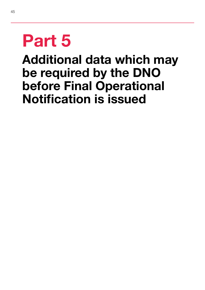# Part 5

## Additional data which may be required by the DNO before Final Operational Notification is issued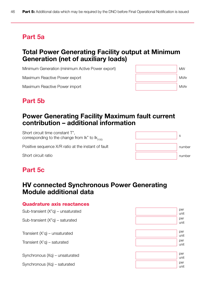## Part 5a

## Total Power Generating Facility output at Minimum Generation (net of auxiliary loads)

Minimum Generation (minimum Active Power export)

Maximum Reactive Power export

Maximum Reactive Power import

## Part 5b



## Power Generating Facility Maximum fault current contribution – additional information

Short circuit time constant T", corresponding to the change from  $lk$ " to  $lk_{(100)}$ 

Positive sequence X/R ratio at the instant of fault

Short circuit ratio

## s number number

## Part 5c

## HV connected Synchronous Power Generating Module additional data

#### Quadrature axis reactances Sub-transient (X"q) – unsaturated Sub-transient (X"q) – saturated Transient (X'q) – unsaturated Transient (X'q) – saturated Synchronous (Xq) – unsaturated Synchronous (Xq) – saturated per unit per unit per unit per unit per unit per unit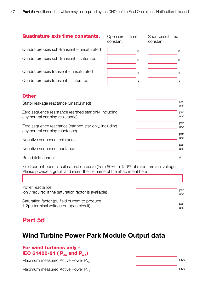#### Quadrature axis time constants.

Quadrature-axis sub-transient – unsaturated

Quadrature-axis sub-transient – saturated

Quadrature-axis transient – unsaturated

Quadrature-axis transient – saturated

| Open circuit time<br>constant | Short circuit time<br>constant |
|-------------------------------|--------------------------------|
| S                             | S                              |
| S                             | S                              |
| S                             | S                              |
| S                             | S                              |

## suit time



#### **Other**

| Stator leakage reactance (unsaturated)                                                     | per<br>unit        |  |
|--------------------------------------------------------------------------------------------|--------------------|--|
| Zero sequence resistance (earthed star only, including<br>any neutral earthing resistance) | per<br>unit        |  |
| Zero sequence reactance (earthed star only, including<br>any neutral earthing reactance)   | per<br>unit<br>per |  |
| Negative sequence resistance                                                               | unit               |  |
| Negative sequence reactance                                                                | per<br>unit        |  |
| Rated field current                                                                        | A                  |  |

Field current open circuit saturation curve (from 50% to 120% of rated terminal voltage) Please provide a graph and insert the file name of the attachment here

| Potier reactance                                      | per  |
|-------------------------------------------------------|------|
| (only required if the saturation factor is available) | unit |
| Saturation factor (pu field current to produce)       | per  |
| 1.2pu terminal voltage on open circuit)               | unit |

## Part 5d

## Wind Turbine Power Park Module Output data

#### For wind turbines only - **IEC 61400-21 (** $P_{60}$  **and**  $P_{0.2}$ **)**

Maximum measured Active Power  $P_{60}$ 

Maximum measured Active Power  $P_{0.2}$ 

| <b>MW</b> |
|-----------|
| <b>MW</b> |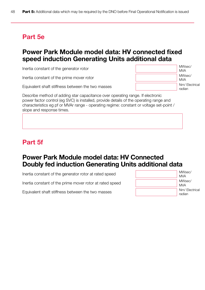## Part 5e

## Power Park Module model data: HV connected fixed speed induction Generating Units additional data

Inertia constant of the generator rotor

Inertia constant of the prime mover rotor

Equivalent shaft stiffness between the two masses



Describe method of adding star capacitance over operating range. If electronic power factor control (eg SVC) is installed, provide details of the operating range and characteristics eg pf or MVAr range - operating regime: constant or voltage set-point / slope and response times.

## Part 5f

## Power Park Module model data: HV Connected Doubly fed induction Generating Units additional data

Inertia constant of the generator rotor at rated speed

Inertia constant of the prime mover rotor at rated speed

Equivalent shaft stiffness between the two masses

| MWsec/<br><b>MVA</b>    |
|-------------------------|
| MWsec/<br><b>MVA</b>    |
| Nm/Electrical<br>radian |